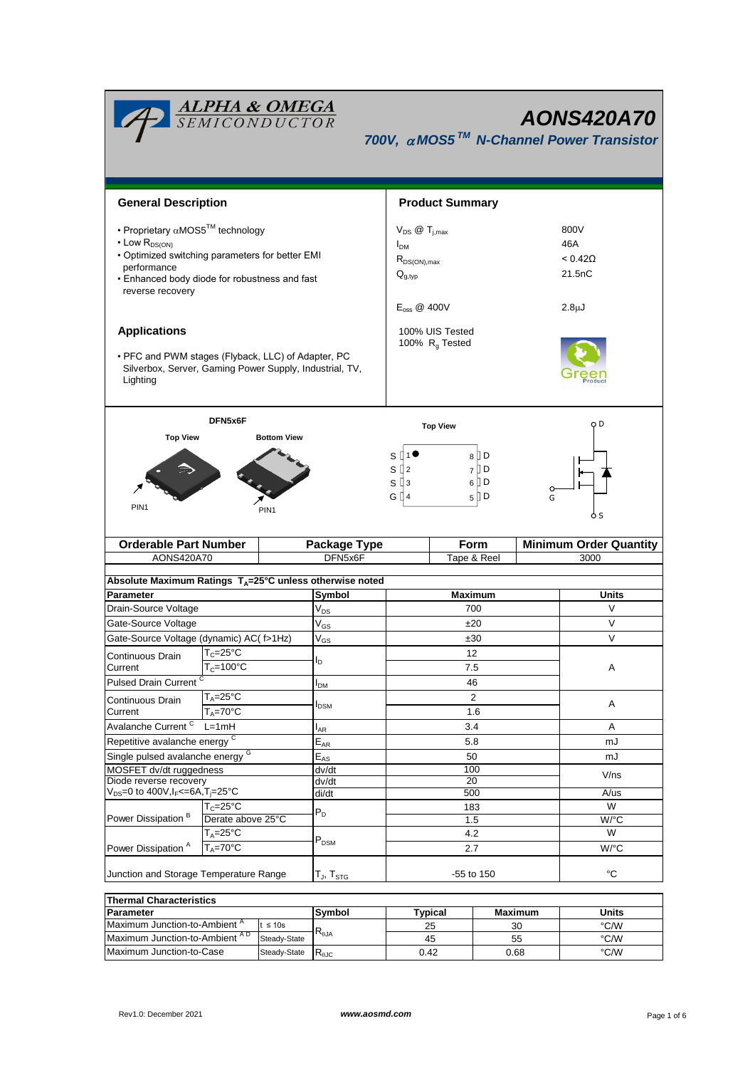| <b>ALPHA &amp; OMEGA</b><br>SEMICONDUCTOR<br><b>AONS420A70</b><br>700V, $\alpha$ MOS5 <sup>TM</sup> N-Channel Power Transistor                                                                                          |                                                           |                                                                                                         |                           |                        |                                                             |                |                    |                               |  |
|-------------------------------------------------------------------------------------------------------------------------------------------------------------------------------------------------------------------------|-----------------------------------------------------------|---------------------------------------------------------------------------------------------------------|---------------------------|------------------------|-------------------------------------------------------------|----------------|--------------------|-------------------------------|--|
| <b>General Description</b>                                                                                                                                                                                              |                                                           |                                                                                                         |                           | <b>Product Summary</b> |                                                             |                |                    |                               |  |
| • Proprietary $\alpha$ MOS5 <sup>TM</sup> technology<br>$\cdot$ Low $R_{DS(ON)}$<br>. Optimized switching parameters for better EMI<br>performance<br>• Enhanced body diode for robustness and fast<br>reverse recovery |                                                           | $V_{DS}$ @ $T_{i,max}$<br>I <sub>DM</sub><br>$R_{DS(ON),max}$<br>$Q_{g,typ}$<br>$E_{\text{oss}}$ @ 400V |                           |                        | 800V<br>46A<br>$< 0.42\Omega$<br>21.5nC<br>2.8 <sub>µ</sub> |                |                    |                               |  |
| <b>Applications</b>                                                                                                                                                                                                     |                                                           |                                                                                                         |                           |                        | 100% UIS Tested                                             |                |                    |                               |  |
| • PFC and PWM stages (Flyback, LLC) of Adapter, PC<br>Silverbox, Server, Gaming Power Supply, Industrial, TV,<br>Lighting                                                                                               |                                                           |                                                                                                         |                           | 100% $R_g$ Tested      |                                                             |                |                    |                               |  |
|                                                                                                                                                                                                                         | DFN5x6F                                                   |                                                                                                         |                           | <b>Top View</b>        |                                                             |                |                    | o D                           |  |
| PIN <sub>1</sub>                                                                                                                                                                                                        |                                                           | S ∏1●<br>8 D<br>$S^{2}$<br>$7$ D<br>$S \mathbb{I}$ 3<br>6   D<br>G ∏4<br>$5$ D<br>G<br>ò S              |                           |                        |                                                             |                |                    |                               |  |
| <b>Orderable Part Number</b>                                                                                                                                                                                            |                                                           |                                                                                                         | Package Type              |                        |                                                             | Form           |                    | <b>Minimum Order Quantity</b> |  |
| AONS420A70                                                                                                                                                                                                              |                                                           |                                                                                                         | DFN5x6F                   | Tape & Reel            |                                                             | 3000           |                    |                               |  |
| Absolute Maximum Ratings TA=25°C unless otherwise noted                                                                                                                                                                 |                                                           |                                                                                                         |                           |                        |                                                             |                |                    |                               |  |
| Parameter                                                                                                                                                                                                               |                                                           |                                                                                                         | Symbol                    | Maximum                |                                                             |                |                    | Units                         |  |
| Drain-Source Voltage                                                                                                                                                                                                    |                                                           |                                                                                                         | $V_{DS}$                  | 700                    |                                                             |                | V                  |                               |  |
| Gate-Source Voltage                                                                                                                                                                                                     |                                                           |                                                                                                         | $V_{GS}$                  | ±20                    |                                                             |                | V                  |                               |  |
| Gate-Source Voltage (dynamic) AC( f>1Hz)                                                                                                                                                                                |                                                           |                                                                                                         | $V_{GS}$                  | ±30                    |                                                             |                | V                  |                               |  |
| Continuous Drain                                                                                                                                                                                                        | $T_c = 25$ °C                                             |                                                                                                         |                           |                        | 12<br>7.5                                                   |                |                    | Α                             |  |
| Current                                                                                                                                                                                                                 | $T_c = 100^{\circ}C$                                      |                                                                                                         | ΙD                        |                        |                                                             |                |                    |                               |  |
| Pulsed Drain Current <sup>C</sup>                                                                                                                                                                                       |                                                           |                                                                                                         | I <sub>DM</sub>           | 46                     |                                                             |                |                    |                               |  |
| Continuous Drain                                                                                                                                                                                                        | $T_A = 25$ °C<br>$T_A = 70$ °C                            |                                                                                                         | I <sub>DSM</sub>          |                        |                                                             | $\overline{2}$ |                    | Α                             |  |
| Current                                                                                                                                                                                                                 |                                                           |                                                                                                         |                           | 1.6                    |                                                             |                |                    |                               |  |
|                                                                                                                                                                                                                         | Avalanche Current <sup>C</sup><br>$L=1mH$                 |                                                                                                         | $I_{AR}$                  | 3.4                    |                                                             |                | Α                  |                               |  |
| Repetitive avalanche energy <sup>C</sup>                                                                                                                                                                                |                                                           |                                                                                                         | $E_{AR}$                  | 5.8                    |                                                             |                | mJ                 |                               |  |
| Single pulsed avalanche energy <sup>G</sup>                                                                                                                                                                             |                                                           |                                                                                                         | $E_{AS}$                  | 50                     |                                                             |                | mJ                 |                               |  |
| MOSFET dv/dt ruggedness<br>Diode reverse recovery                                                                                                                                                                       |                                                           |                                                                                                         | dv/dt<br>dv/dt            |                        | 100<br>20                                                   |                |                    | V/ns                          |  |
| $V_{DS} = 0$ to 400V, $I_F < = 6A$ , $T_i = 25^{\circ}C$                                                                                                                                                                |                                                           | di/dt                                                                                                   | 500                       |                        |                                                             | $A$ /us        |                    |                               |  |
|                                                                                                                                                                                                                         | $T_c = 25^{\circ}C$<br>Derate above 25°C<br>$T_A = 25$ °C |                                                                                                         | $P_D$                     | 183<br>1.5<br>4.2      |                                                             |                | W                  |                               |  |
| Power Dissipation <sup>B</sup>                                                                                                                                                                                          |                                                           |                                                                                                         |                           |                        |                                                             |                | $W$ <sup>o</sup> C |                               |  |
|                                                                                                                                                                                                                         |                                                           |                                                                                                         | $\mathsf{P}_\mathsf{DSM}$ |                        |                                                             |                | W                  |                               |  |
| Power Dissipation <sup>A</sup><br>$T_A = 70$ °C                                                                                                                                                                         |                                                           |                                                                                                         | 2.7                       |                        |                                                             |                | W/°C               |                               |  |
| Junction and Storage Temperature Range                                                                                                                                                                                  |                                                           | $T_J$ , $T_{STG}$                                                                                       | -55 to 150                |                        |                                                             | °C             |                    |                               |  |
| <b>Thermal Characteristics</b>                                                                                                                                                                                          |                                                           |                                                                                                         |                           |                        |                                                             |                |                    |                               |  |
| Parameter                                                                                                                                                                                                               |                                                           | Symbol                                                                                                  |                           | <b>Typical</b>         | <b>Maximum</b>                                              |                | <b>Units</b>       |                               |  |

| <b>Thermal Characteristics</b> |              |                |         |       |      |  |  |
|--------------------------------|--------------|----------------|---------|-------|------|--|--|
| <b>Parameter</b>               | Svmbol       | 'vpical        | Maximum | Units |      |  |  |
| Maximum Junction-to-Ambient "  | $\leq 10s$   |                | 25      | 30    | °C/W |  |  |
| Maximum Junction-to-Ambient AD | Steady-State | $R_{0,IA}$     | 45      | 55    | °C/W |  |  |
| Maximum Junction-to-Case       | Steady-State | $R_{\theta$ JC | 0.42    | 0.68  | °C/W |  |  |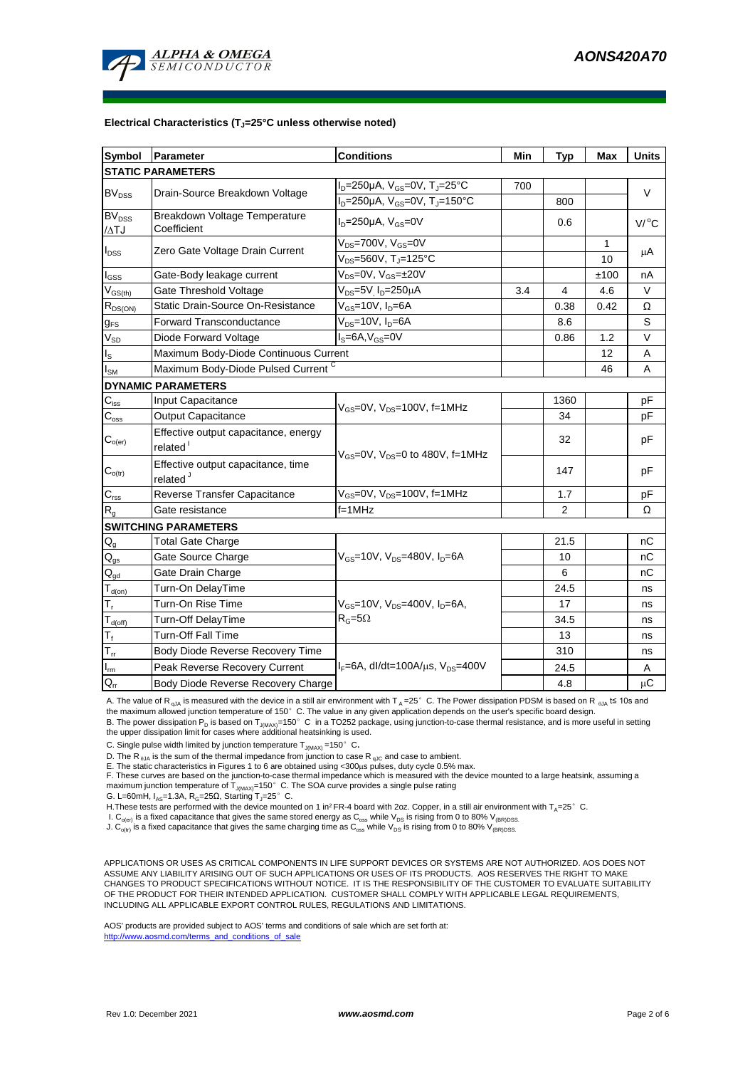

#### **Electrical Characteristics (TJ=25°C unless otherwise noted)**

| <b>Symbol</b>                          | Parameter                                                    | <b>Conditions</b>                                        | Min | <b>Typ</b> | Max  | <b>Units</b>        |  |  |
|----------------------------------------|--------------------------------------------------------------|----------------------------------------------------------|-----|------------|------|---------------------|--|--|
| <b>STATIC PARAMETERS</b>               |                                                              |                                                          |     |            |      |                     |  |  |
| <b>BV<sub>DSS</sub></b>                | Drain-Source Breakdown Voltage                               | $I_D = 250 \mu A$ , $V_{GS} = 0V$ , T <sub>J</sub> =25°C | 700 |            |      | V                   |  |  |
|                                        |                                                              | $I_D = 250 \mu A$ , $V_{GS} = 0V$ , $T_J = 150^{\circ}C$ |     | 800        |      |                     |  |  |
| <b>BV<sub>DSS</sub></b><br>$\Delta TJ$ | Breakdown Voltage Temperature<br>Coefficient                 | $ID=250\mu A$ , $VGS=0V$                                 |     | 0.6        |      | $V/$ <sup>o</sup> C |  |  |
|                                        | Zero Gate Voltage Drain Current                              | $V_{DS}$ =700V, $V_{GS}$ =0V                             |     |            | 1    |                     |  |  |
| $I_{DSS}$                              |                                                              | $V_{DS} = 560V$ , T <sub>J</sub> =125°C                  |     |            | 10   | μA                  |  |  |
| $I_{GS}$                               | Gate-Body leakage current                                    | $V_{DS} = 0V$ , $V_{GS} = \pm 20V$                       |     |            | ±100 | nA                  |  |  |
| $\rm V_{GS(th)}$                       | Gate Threshold Voltage                                       | $V_{DS} = 5V$ <sub>D</sub> =250 $\mu$ A<br>3.4           |     | 4          | 4.6  | V                   |  |  |
| $R_{DS(ON)}$                           | Static Drain-Source On-Resistance                            | $V_{GS}$ =10V, $I_D$ =6A                                 |     | 0.38       | 0.42 | Ω                   |  |  |
| $g_{FS}$                               | <b>Forward Transconductance</b>                              | $V_{DS}$ =10V, $I_D$ =6A                                 |     | 8.6        |      | S                   |  |  |
| $\rm V_{SD}$                           | Diode Forward Voltage                                        | $IS=6A, VGS=0V$                                          |     | 0.86       | 1.2  | V                   |  |  |
| $I_{\rm S}$                            | Maximum Body-Diode Continuous Current                        |                                                          |     | 12         | A    |                     |  |  |
| $I_{\text{SM}}$                        | Maximum Body-Diode Pulsed Current C                          |                                                          |     |            | 46   | A                   |  |  |
|                                        | <b>DYNAMIC PARAMETERS</b>                                    |                                                          |     |            |      |                     |  |  |
| $C_{iss}$                              | Input Capacitance                                            | $V_{\text{GS}} = 0V$ , $V_{\text{DS}} = 100V$ , f=1MHz   |     | 1360       |      | рF                  |  |  |
| $\mathsf{C}_{\text{\tiny \text{OSS}}}$ | Output Capacitance                                           |                                                          |     | 34         |      | рF                  |  |  |
| $\mathsf{C}_{\mathsf{o}(\mathsf{er})}$ | Effective output capacitance, energy<br>related <sup>1</sup> | $V_{GS}$ =0V, $V_{DS}$ =0 to 480V, f=1MHz                |     | 32         |      | pF                  |  |  |
| $\mathbf{C}_{o(tr)}$                   | Effective output capacitance, time<br>related <sup>J</sup>   |                                                          |     | 147        |      | рF                  |  |  |
| $C_{\text{rss}}$                       | Reverse Transfer Capacitance                                 | $V_{GS}$ =0V, $V_{DS}$ =100V, f=1MHz                     |     | 1.7        |      | pF                  |  |  |
| R <sub>g</sub>                         | Gate resistance                                              | $f=1$ MHz                                                |     | 2          |      | Ω                   |  |  |
|                                        | <b>SWITCHING PARAMETERS</b>                                  |                                                          |     |            |      |                     |  |  |
| $\mathsf{Q}_{\underline{\mathsf{g}}}$  | <b>Total Gate Charge</b>                                     |                                                          |     | 21.5       |      | nС                  |  |  |
| $\mathsf{Q}_{\text{gs}}$               | Gate Source Charge                                           | $V_{GS}$ =10V, $V_{DS}$ =480V, $I_{D}$ =6A               |     | 10         |      | nС                  |  |  |
| $Q_{gd}$                               | Gate Drain Charge                                            |                                                          |     | 6          |      | nС                  |  |  |
| $T_{d(0n)}$                            | Turn-On DelayTime                                            |                                                          |     | 24.5       |      | ns                  |  |  |
| $T_r$                                  | Turn-On Rise Time                                            | $V_{GS}$ =10V, $V_{DS}$ =400V, $I_{D}$ =6A,              |     | 17         |      | ns                  |  |  |
| $T_{d(off)}$                           | Turn-Off DelayTime                                           | $R_G = 5\Omega$                                          |     | 34.5       |      | ns                  |  |  |
| $T_f$                                  | <b>Turn-Off Fall Time</b>                                    |                                                          |     | 13         |      | ns                  |  |  |
| $T_{rr}$                               | Body Diode Reverse Recovery Time                             |                                                          |     | 310        |      | ns                  |  |  |
| $I_{\rm rm}$                           | Peak Reverse Recovery Current                                | $I_F = 6A$ , dl/dt=100A/ $\mu$ s, V <sub>DS</sub> =400V  |     | 24.5       |      | Α                   |  |  |
| $Q_{rr}$                               | Body Diode Reverse Recovery Charge                           |                                                          |     | 4.8        |      | $\upmu\text{C}$     |  |  |

A. The value of R<sub>qJA</sub> is measured with the device in a still air environment with T<sub>A</sub>=25°C. The Power dissipation PDSM is based on R <sub>0JA</sub> t≤ 10s and the maximum allowed junction temperature of 150°C. The value in any given application depends on the user's specific board design.

B. The power dissipation P<sub>D</sub> is based on T<sub>J(MAX)</sub>=150°C in a TO252 package, using junction-to-case thermal resistance, and is more useful in setting<br>the upper dissipation limit for cases where additional heatsinking is u

C. Single pulse width limited by junction temperature  $T_{J(MAX)} = 150^{\circ}$  C.

D. The R <sub>εJA</sub> is the sum of the thermal impedance from junction to case R <sub>qJC</sub> and case to ambient.<br>E. The static characteristics in Figures 1 to 6 are obtained using <300μs pulses, duty cycle 0.5% max.<br>F. These curves maximum junction temperature of  $T_{J(MAX)}$ =150°C. The SOA curve provides a single pulse rating

G. L=60mH,  $I_{AS}$ =1.3A,  $R_G$ =25 $\Omega$ , Starting T<sub>J</sub>=25°C.

H. These tests are performed with the device mounted on 1 in<sup>2</sup> FR-4 board with 2oz. Copper, in a still air environment with T<sub>A</sub>=25°C.

I. C<sub>o(er)</sub> is a fixed capacitance that gives the same stored energy as C<sub>oss</sub> while V<sub>DS</sub> is rising from 0 to 80% V<sub>(BR)DSS</sub>.<br>J. C<sub>o(tr)</sub> is a fixed capacitance that gives the same charging time as C<sub>oss</sub> while V<sub>DS</sub> is

APPLICATIONS OR USES AS CRITICAL COMPONENTS IN LIFE SUPPORT DEVICES OR SYSTEMS ARE NOT AUTHORIZED. AOS DOES NOT ASSUME ANY LIABILITY ARISING OUT OF SUCH APPLICATIONS OR USES OF ITS PRODUCTS. AOS RESERVES THE RIGHT TO MAKE CHANGES TO PRODUCT SPECIFICATIONS WITHOUT NOTICE. IT IS THE RESPONSIBILITY OF THE CUSTOMER TO EVALUATE SUITABILITY OF THE PRODUCT FOR THEIR INTENDED APPLICATION. CUSTOMER SHALL COMPLY WITH APPLICABLE LEGAL REQUIREMENTS, INCLUDING ALL APPLICABLE EXPORT CONTROL RULES, REGULATIONS AND LIMITATIONS.

AOS' products are provided subject to AOS' terms and conditions of sale which are set forth at: http://www.aosmd.com/terms\_and\_conditions\_of\_sale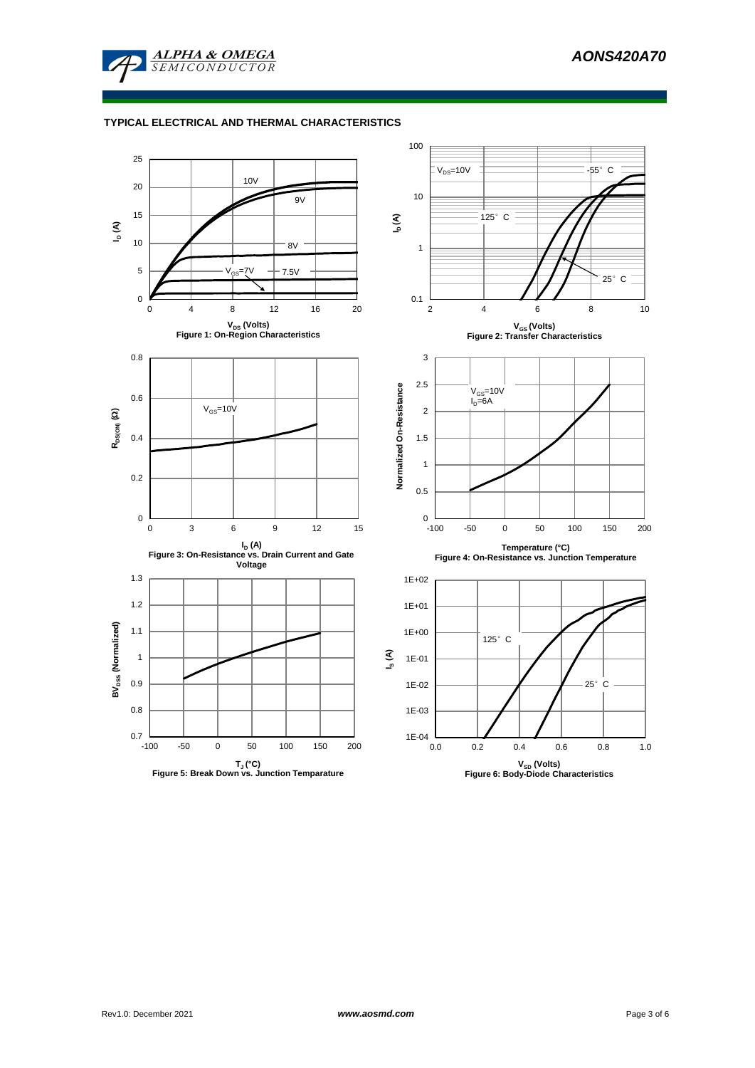

## **TYPICAL ELECTRICAL AND THERMAL CHARACTERISTICS**

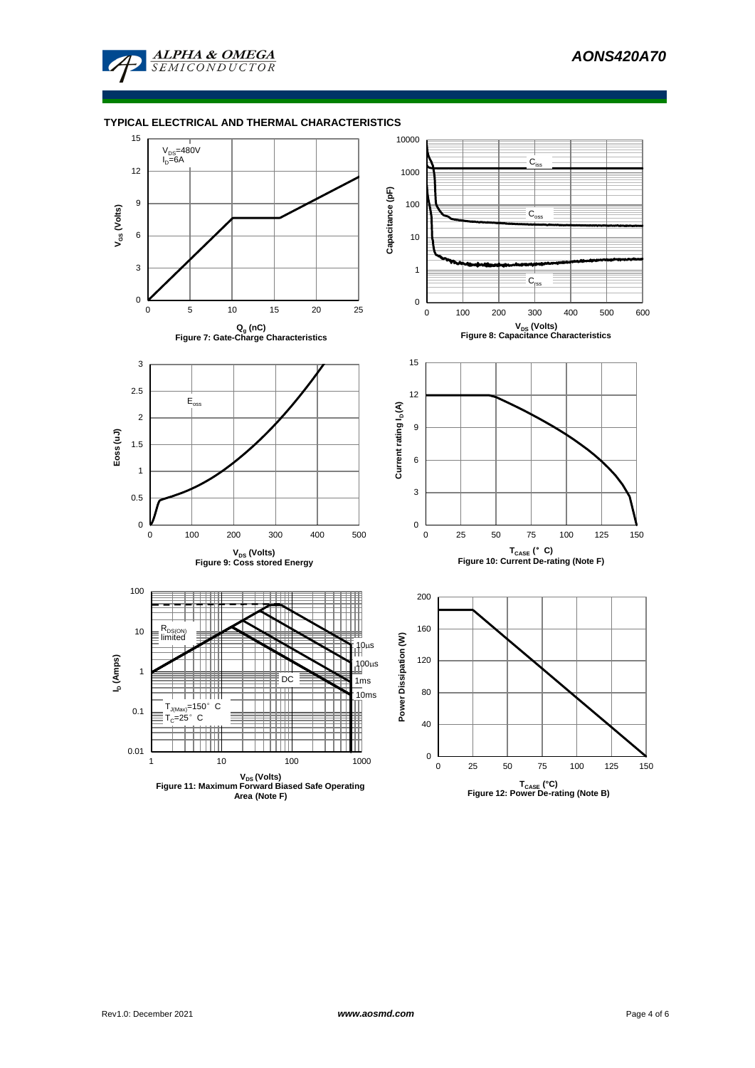

### **TYPICAL ELECTRICAL AND THERMAL CHARACTERISTICS**

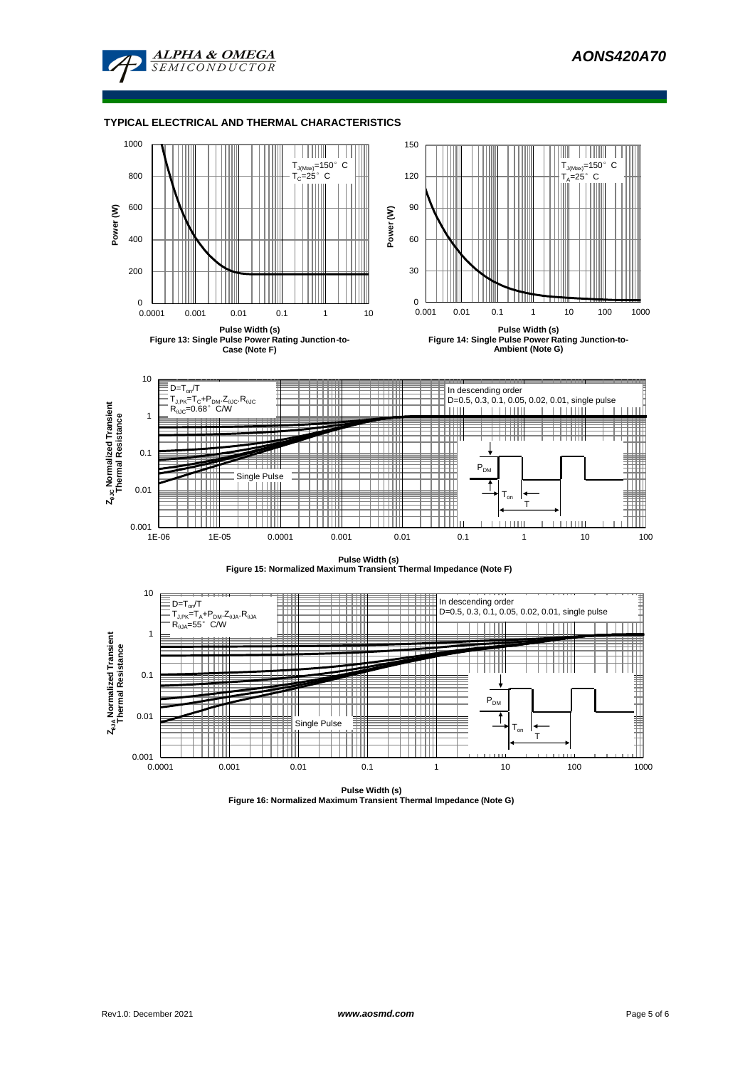

### **TYPICAL ELECTRICAL AND THERMAL CHARACTERISTICS**





1E-06 1E-05 0.0001 0.001 0.01 0.1 1 10 100